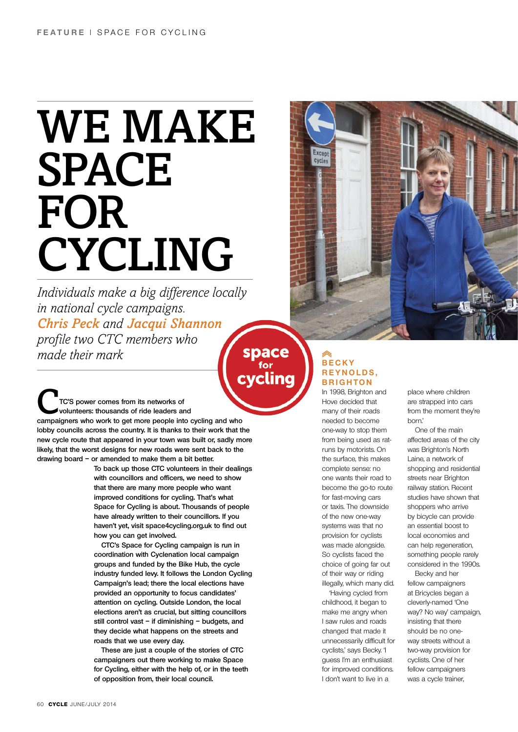## WE MAKE **SPACE** FOR Cycling

*Individuals make a big difference locally in national cycle campaigns. Chris Peck and Jacqui Shannon profile two CTC members who made their mark*

**space** cvclina

C**TC's power comes from its networks of volunteers: thousands of ride leaders and campaigners who work to get more people into cycling and who lobby councils across the country. It is thanks to their work that the new cycle route that appeared in your town was built or, sadly more likely, that the worst designs for new roads were sent back to the drawing board – or amended to make them a bit better.** 

**To back up those CTC volunteers in their dealings with councillors and officers, we need to show that there are many more people who want improved conditions for cycling. That's what Space for Cycling is about. Thousands of people have already written to their councillors. If you haven't yet, visit space4cycling.org.uk to find out how you can get involved.**

**CTC's Space for Cycling campaign is run in coordination with Cyclenation local campaign groups and funded by the Bike Hub, the cycle industry funded levy. It follows the London Cycling Campaign's lead; there the local elections have provided an opportunity to focus candidates' attention on cycling. Outside London, the local elections aren't as crucial, but sitting councillors still control vast – if diminishing – budgets, and they decide what happens on the streets and roads that we use every day.**

**These are just a couple of the stories of CTC campaigners out there working to make Space for Cycling, either with the help of, or in the teeth of opposition from, their local council.**

## **B e c k y**  REYNOLDS, **B r ighton**

Except cycles

> In 1998, Brighton and Hove decided that many of their roads needed to become one-way to stop them from being used as ratruns by motorists. On the surface, this makes complete sense: no one wants their road to become the go-to route for fast-moving cars or taxis. The downside of the new one-way systems was that no provision for cyclists was made alongside. So cyclists faced the choice of going far out of their way or riding illegally, which many did.

> 'Having cycled from childhood, it began to make me angry when I saw rules and roads changed that made it unnecessarily difficult for cyclists,' says Becky. 'I guess I'm an enthusiast for improved conditions. I don't want to live in a

place where children are strapped into cars from the moment they're born.'

One of the main affected areas of the city was Brighton's North Laine, a network of shopping and residential streets near Brighton railway station. Recent studies have shown that shoppers who arrive by bicycle can provide an essential boost to local economies and can help regeneration, something people rarely considered in the 1990s.

Becky and her fellow campaigners at Bricycles began a cleverly-named 'One way? No way' campaign, insisting that there should be no oneway streets without a two-way provision for cyclists. One of her fellow campaigners was a cycle trainer,